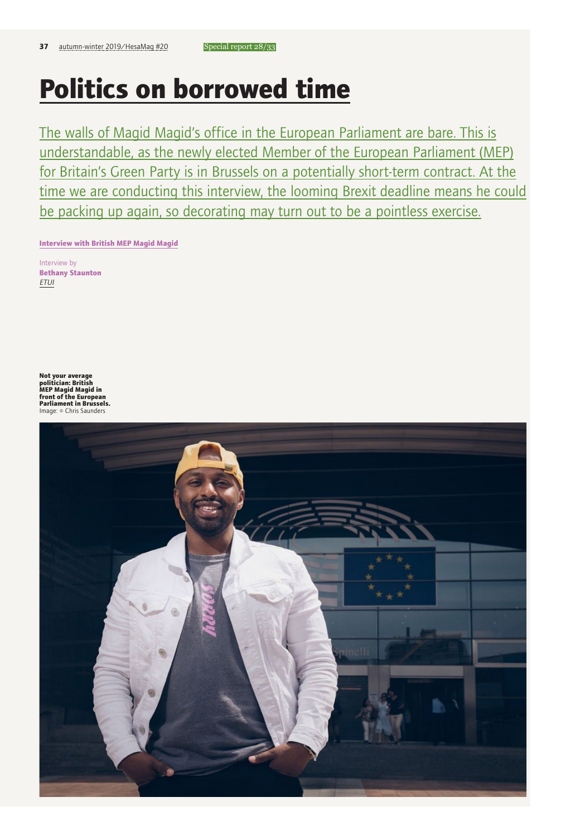# **Politics on borrowed time**

The walls of Magid Magid's office in the European Parliament are bare. This is understandable, as the newly elected Member of the European Parliament (MEP) for Britain's Green Party is in Brussels on a potentially short-term contract. At the time we are conducting this interview, the looming Brexit deadline means he could be packing up again, so decorating may turn out to be a pointless exercise.

**Interview with British MEP Magid Magid**

Interview by **Bethany Staunton** *ETUI*

**Not your average politician: British MEP Magid Magid in front of the European Parliament in Brussels.** Image: © Chris Saunders

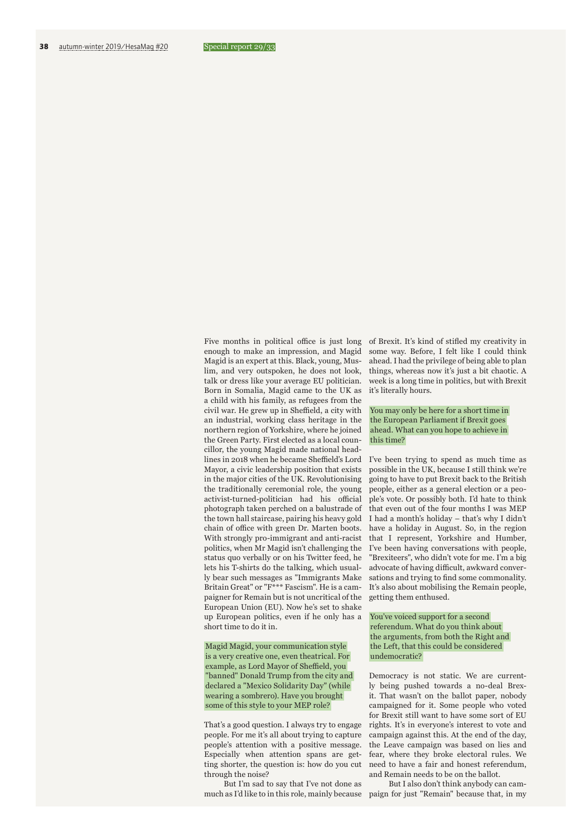Five months in political office is just long enough to make an impression, and Magid Magid is an expert at this. Black, young, Muslim, and very outspoken, he does not look, talk or dress like your average EU politician. Born in Somalia, Magid came to the UK as a child with his family, as refugees from the civil war. He grew up in Sheffield, a city with an industrial, working class heritage in the northern region of Yorkshire, where he joined the Green Party. First elected as a local councillor, the young Magid made national headlines in 2018 when he became Sheffield's Lord Mayor, a civic leadership position that exists in the major cities of the UK. Revolutionising the traditionally ceremonial role, the young activist-turned-politician had his official photograph taken perched on a balustrade of the town hall staircase, pairing his heavy gold chain of office with green Dr. Marten boots. With strongly pro-immigrant and anti-racist politics, when Mr Magid isn't challenging the status quo verbally or on his Twitter feed, he lets his T-shirts do the talking, which usually bear such messages as "Immigrants Make Britain Great" or "F\*\*\* Fascism". He is a campaigner for Remain but is not uncritical of the European Union (EU). Now he's set to shake up European politics, even if he only has a short time to do it in.

Magid Magid, your communication style is a very creative one, even theatrical. For example, as Lord Mayor of Sheffield, you "banned" Donald Trump from the city and declared a "Mexico Solidarity Day" (while wearing a sombrero). Have you brought some of this style to your MEP role?

That's a good question. I always try to engage people. For me it's all about trying to capture people's attention with a positive message. Especially when attention spans are getting shorter, the question is: how do you cut through the noise?

But I'm sad to say that I've not done as

of Brexit. It's kind of stifled my creativity in some way. Before, I felt like I could think ahead. I had the privilege of being able to plan things, whereas now it's just a bit chaotic. A week is a long time in politics, but with Brexit it's literally hours.

## You may only be here for a short time in the European Parliament if Brexit goes ahead. What can you hope to achieve in this time?

I've been trying to spend as much time as possible in the UK, because I still think we're going to have to put Brexit back to the British people, either as a general election or a people's vote. Or possibly both. I'd hate to think that even out of the four months I was MEP I had a month's holiday – that's why I didn't have a holiday in August. So, in the region that I represent, Yorkshire and Humber, I've been having conversations with people, "Brexiteers", who didn't vote for me. I'm a big advocate of having difficult, awkward conversations and trying to find some commonality. It's also about mobilising the Remain people, getting them enthused.

You've voiced support for a second referendum. What do you think about the arguments, from both the Right and the Left, that this could be considered undemocratic?

Democracy is not static. We are currently being pushed towards a no-deal Brexit. That wasn't on the ballot paper, nobody campaigned for it. Some people who voted for Brexit still want to have some sort of EU rights. It's in everyone's interest to vote and campaign against this. At the end of the day, the Leave campaign was based on lies and fear, where they broke electoral rules. We need to have a fair and honest referendum, and Remain needs to be on the ballot.

much as I'd like to in this role, mainly because paign for just "Remain" because that, in my But I also don't think anybody can cam-